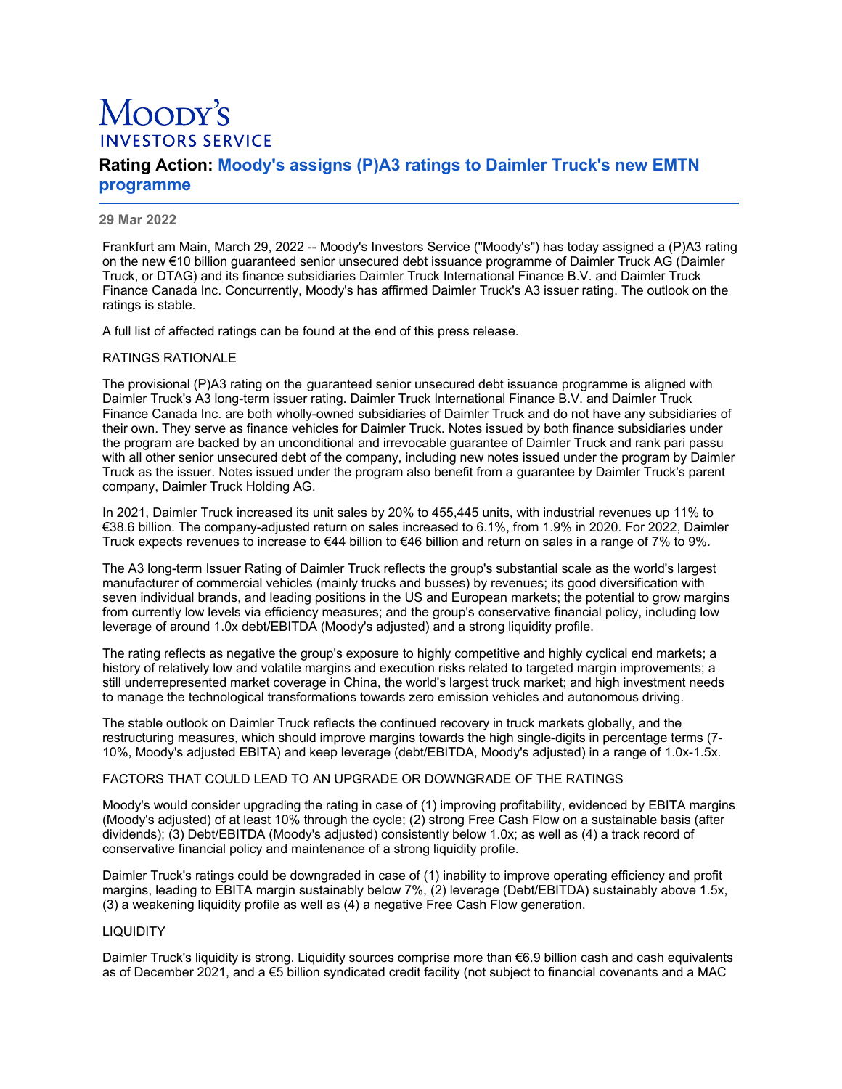# Moopy's **INVESTORS SERVICE**

# **Rating Action: Moody's assigns (P)A3 ratings to Daimler Truck's new EMTN programme**

#### **29 Mar 2022**

Frankfurt am Main, March 29, 2022 -- Moody's Investors Service ("Moody's") has today assigned a (P)A3 rating on the new €10 billion guaranteed senior unsecured debt issuance programme of Daimler Truck AG (Daimler Truck, or DTAG) and its finance subsidiaries Daimler Truck International Finance B.V. and Daimler Truck Finance Canada Inc. Concurrently, Moody's has affirmed Daimler Truck's A3 issuer rating. The outlook on the ratings is stable.

A full list of affected ratings can be found at the end of this press release.

# RATINGS RATIONALE

The provisional (P)A3 rating on the guaranteed senior unsecured debt issuance programme is aligned with Daimler Truck's A3 long-term issuer rating. Daimler Truck International Finance B.V. and Daimler Truck Finance Canada Inc. are both wholly-owned subsidiaries of Daimler Truck and do not have any subsidiaries of their own. They serve as finance vehicles for Daimler Truck. Notes issued by both finance subsidiaries under the program are backed by an unconditional and irrevocable guarantee of Daimler Truck and rank pari passu with all other senior unsecured debt of the company, including new notes issued under the program by Daimler Truck as the issuer. Notes issued under the program also benefit from a guarantee by Daimler Truck's parent company, Daimler Truck Holding AG.

In 2021, Daimler Truck increased its unit sales by 20% to 455,445 units, with industrial revenues up 11% to €38.6 billion. The company-adjusted return on sales increased to 6.1%, from 1.9% in 2020. For 2022, Daimler Truck expects revenues to increase to €44 billion to €46 billion and return on sales in a range of 7% to 9%.

The A3 long-term Issuer Rating of Daimler Truck reflects the group's substantial scale as the world's largest manufacturer of commercial vehicles (mainly trucks and busses) by revenues; its good diversification with seven individual brands, and leading positions in the US and European markets; the potential to grow margins from currently low levels via efficiency measures; and the group's conservative financial policy, including low leverage of around 1.0x debt/EBITDA (Moody's adjusted) and a strong liquidity profile.

The rating reflects as negative the group's exposure to highly competitive and highly cyclical end markets; a history of relatively low and volatile margins and execution risks related to targeted margin improvements; a still underrepresented market coverage in China, the world's largest truck market; and high investment needs to manage the technological transformations towards zero emission vehicles and autonomous driving.

The stable outlook on Daimler Truck reflects the continued recovery in truck markets globally, and the restructuring measures, which should improve margins towards the high single-digits in percentage terms (7- 10%, Moody's adjusted EBITA) and keep leverage (debt/EBITDA, Moody's adjusted) in a range of 1.0x-1.5x.

# FACTORS THAT COULD LEAD TO AN UPGRADE OR DOWNGRADE OF THE RATINGS

Moody's would consider upgrading the rating in case of (1) improving profitability, evidenced by EBITA margins (Moody's adjusted) of at least 10% through the cycle; (2) strong Free Cash Flow on a sustainable basis (after dividends); (3) Debt/EBITDA (Moody's adjusted) consistently below 1.0x; as well as (4) a track record of conservative financial policy and maintenance of a strong liquidity profile.

Daimler Truck's ratings could be downgraded in case of (1) inability to improve operating efficiency and profit margins, leading to EBITA margin sustainably below 7%, (2) leverage (Debt/EBITDA) sustainably above 1.5x, (3) a weakening liquidity profile as well as (4) a negative Free Cash Flow generation.

# **LIQUIDITY**

Daimler Truck's liquidity is strong. Liquidity sources comprise more than €6.9 billion cash and cash equivalents as of December 2021, and a €5 billion syndicated credit facility (not subject to financial covenants and a MAC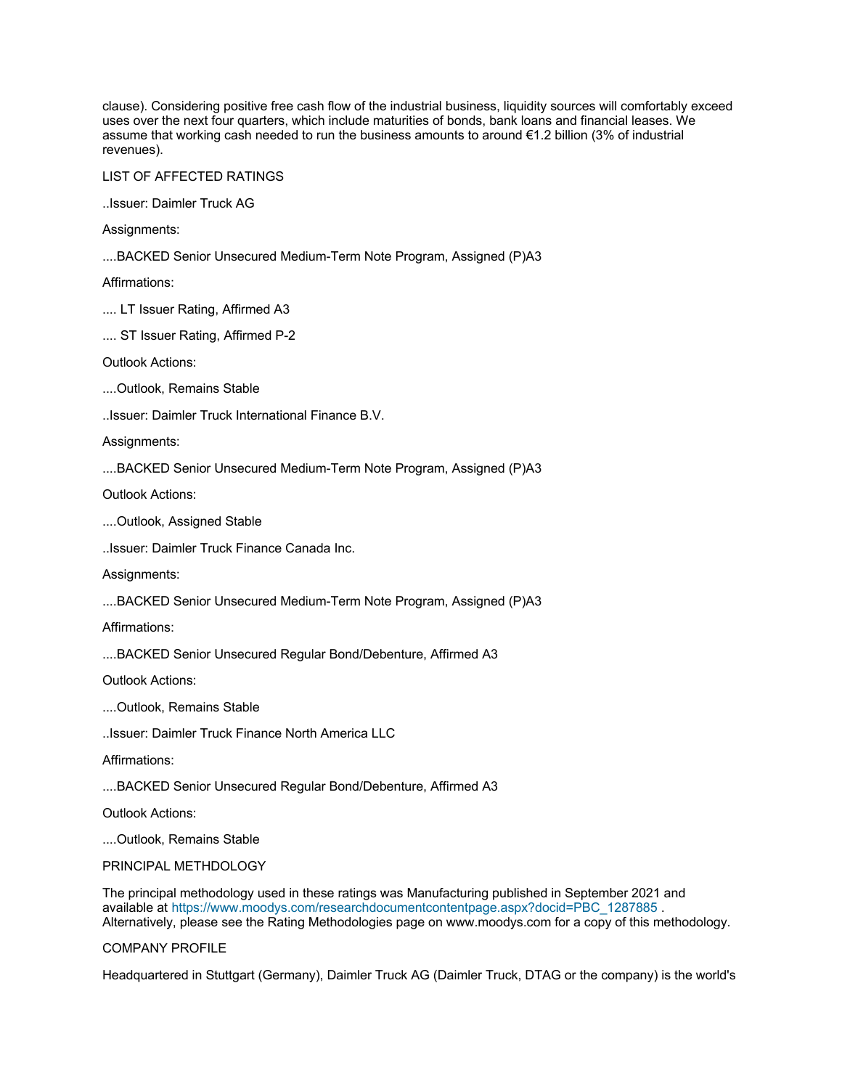clause). Considering positive free cash flow of the industrial business, liquidity sources will comfortably exceed uses over the next four quarters, which include maturities of bonds, bank loans and financial leases. We assume that working cash needed to run the business amounts to around €1.2 billion (3% of industrial revenues).

LIST OF AFFECTED RATINGS

..Issuer: Daimler Truck AG

Assignments:

....BACKED Senior Unsecured Medium-Term Note Program, Assigned (P)A3

Affirmations:

.... LT Issuer Rating, Affirmed A3

.... ST Issuer Rating, Affirmed P-2

Outlook Actions:

....Outlook, Remains Stable

..Issuer: Daimler Truck International Finance B.V.

Assignments:

....BACKED Senior Unsecured Medium-Term Note Program, Assigned (P)A3

Outlook Actions:

....Outlook, Assigned Stable

..Issuer: Daimler Truck Finance Canada Inc.

Assignments:

....BACKED Senior Unsecured Medium-Term Note Program, Assigned (P)A3

Affirmations:

....BACKED Senior Unsecured Regular Bond/Debenture, Affirmed A3

Outlook Actions:

....Outlook, Remains Stable

..Issuer: Daimler Truck Finance North America LLC

Affirmations:

....BACKED Senior Unsecured Regular Bond/Debenture, Affirmed A3

Outlook Actions:

....Outlook, Remains Stable

### PRINCIPAL METHDOLOGY

The principal methodology used in these ratings was Manufacturing published in September 2021 and available at [https://www.moodys.com/researchdocumentcontentpage.aspx?docid=PBC\\_1287885](https://www.moodys.com/researchdocumentcontentpage.aspx?docid=PBC_1287885). Alternatively, please see the Rating Methodologies page on www.moodys.com for a copy of this methodology.

#### COMPANY PROFILE

Headquartered in Stuttgart (Germany), Daimler Truck AG (Daimler Truck, DTAG or the company) is the world's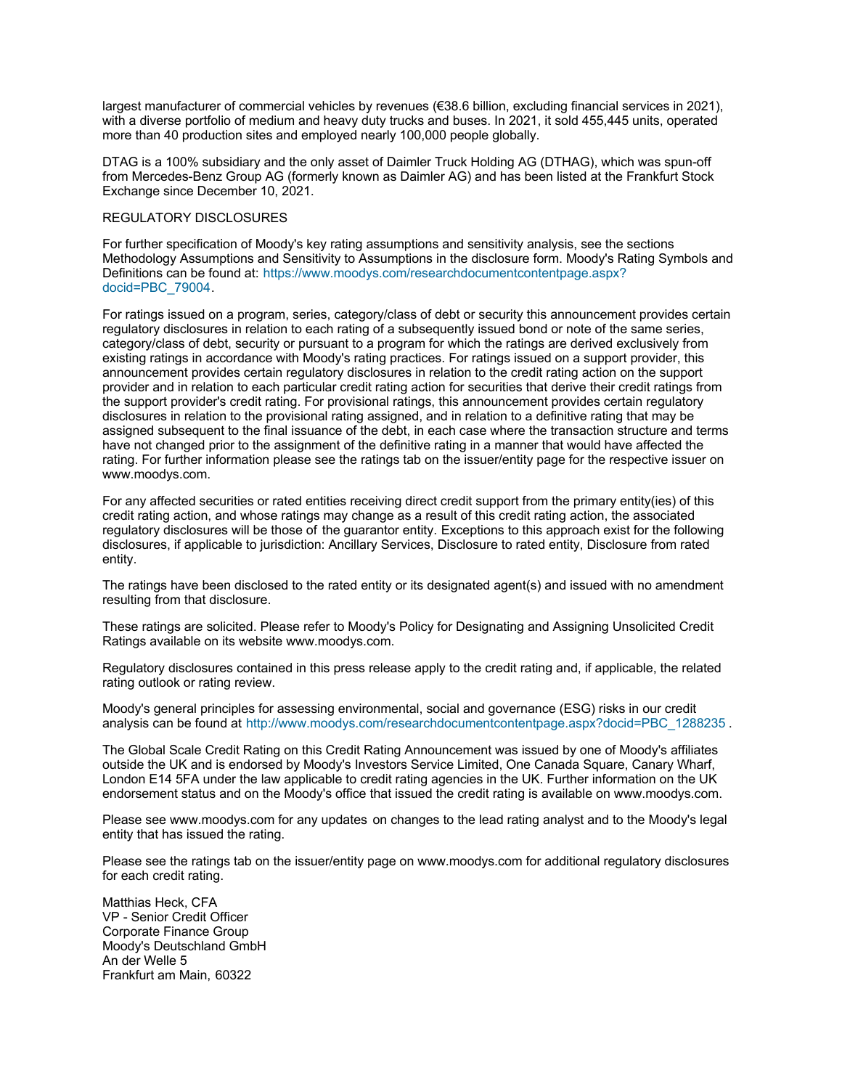largest manufacturer of commercial vehicles by revenues (€38.6 billion, excluding financial services in 2021), with a diverse portfolio of medium and heavy duty trucks and buses. In 2021, it sold 455,445 units, operated more than 40 production sites and employed nearly 100,000 people globally.

DTAG is a 100% subsidiary and the only asset of Daimler Truck Holding AG (DTHAG), which was spun-off from Mercedes-Benz Group AG (formerly known as Daimler AG) and has been listed at the Frankfurt Stock Exchange since December 10, 2021.

### REGULATORY DISCLOSURES

For further specification of Moody's key rating assumptions and sensitivity analysis, see the sections Methodology Assumptions and Sensitivity to Assumptions in the disclosure form. Moody's Rating Symbols and [Definitions can be found at: https://www.moodys.com/researchdocumentcontentpage.aspx?](https://www.moodys.com/researchdocumentcontentpage.aspx?docid=PBC_79004) docid=PBC\_79004.

For ratings issued on a program, series, category/class of debt or security this announcement provides certain regulatory disclosures in relation to each rating of a subsequently issued bond or note of the same series, category/class of debt, security or pursuant to a program for which the ratings are derived exclusively from existing ratings in accordance with Moody's rating practices. For ratings issued on a support provider, this announcement provides certain regulatory disclosures in relation to the credit rating action on the support provider and in relation to each particular credit rating action for securities that derive their credit ratings from the support provider's credit rating. For provisional ratings, this announcement provides certain regulatory disclosures in relation to the provisional rating assigned, and in relation to a definitive rating that may be assigned subsequent to the final issuance of the debt, in each case where the transaction structure and terms have not changed prior to the assignment of the definitive rating in a manner that would have affected the rating. For further information please see the ratings tab on the issuer/entity page for the respective issuer on www.moodys.com.

For any affected securities or rated entities receiving direct credit support from the primary entity(ies) of this credit rating action, and whose ratings may change as a result of this credit rating action, the associated regulatory disclosures will be those of the guarantor entity. Exceptions to this approach exist for the following disclosures, if applicable to jurisdiction: Ancillary Services, Disclosure to rated entity, Disclosure from rated entity.

The ratings have been disclosed to the rated entity or its designated agent(s) and issued with no amendment resulting from that disclosure.

These ratings are solicited. Please refer to Moody's Policy for Designating and Assigning Unsolicited Credit Ratings available on its website www.moodys.com.

Regulatory disclosures contained in this press release apply to the credit rating and, if applicable, the related rating outlook or rating review.

Moody's general principles for assessing environmental, social and governance (ESG) risks in our credit analysis can be found at http://www.moodys.com/researchdocumentcontentpage.aspx?docid=PBC 1288235.

The Global Scale Credit Rating on this Credit Rating Announcement was issued by one of Moody's affiliates outside the UK and is endorsed by Moody's Investors Service Limited, One Canada Square, Canary Wharf, London E14 5FA under the law applicable to credit rating agencies in the UK. Further information on the UK endorsement status and on the Moody's office that issued the credit rating is available on www.moodys.com.

Please see www.moodys.com for any updates on changes to the lead rating analyst and to the Moody's legal entity that has issued the rating.

Please see the ratings tab on the issuer/entity page on www.moodys.com for additional regulatory disclosures for each credit rating.

Matthias Heck, CFA VP - Senior Credit Officer Corporate Finance Group Moody's Deutschland GmbH An der Welle 5 Frankfurt am Main, 60322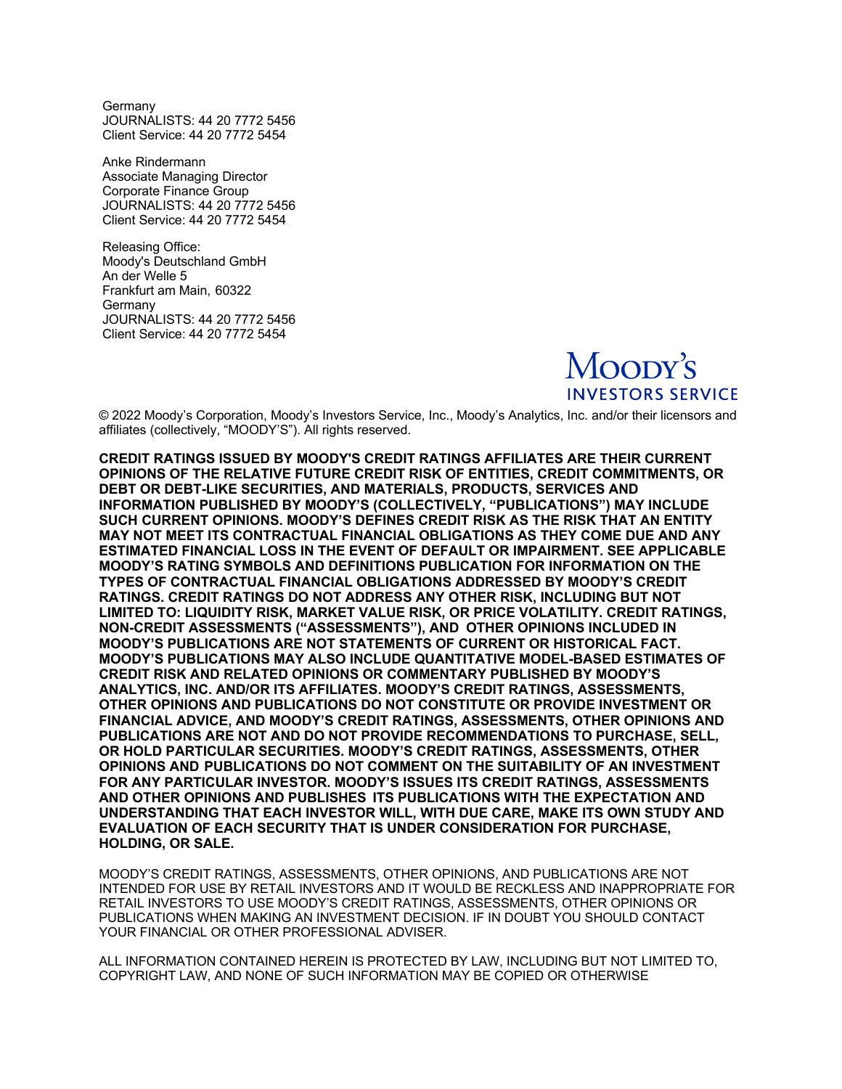**Germany** JOURNALISTS: 44 20 7772 5456 Client Service: 44 20 7772 5454

Anke Rindermann Associate Managing Director Corporate Finance Group JOURNALISTS: 44 20 7772 5456 Client Service: 44 20 7772 5454

Releasing Office: Moody's Deutschland GmbH An der Welle 5 Frankfurt am Main, 60322 Germany JOURNALISTS: 44 20 7772 5456 Client Service: 44 20 7772 5454

> Moopy's **INVESTORS SERVICE**

© 2022 Moody's Corporation, Moody's Investors Service, Inc., Moody's Analytics, Inc. and/or their licensors and affiliates (collectively, "MOODY'S"). All rights reserved.

**CREDIT RATINGS ISSUED BY MOODY'S CREDIT RATINGS AFFILIATES ARE THEIR CURRENT OPINIONS OF THE RELATIVE FUTURE CREDIT RISK OF ENTITIES, CREDIT COMMITMENTS, OR DEBT OR DEBT-LIKE SECURITIES, AND MATERIALS, PRODUCTS, SERVICES AND INFORMATION PUBLISHED BY MOODY'S (COLLECTIVELY, "PUBLICATIONS") MAY INCLUDE SUCH CURRENT OPINIONS. MOODY'S DEFINES CREDIT RISK AS THE RISK THAT AN ENTITY MAY NOT MEET ITS CONTRACTUAL FINANCIAL OBLIGATIONS AS THEY COME DUE AND ANY ESTIMATED FINANCIAL LOSS IN THE EVENT OF DEFAULT OR IMPAIRMENT. SEE APPLICABLE MOODY'S RATING SYMBOLS AND DEFINITIONS PUBLICATION FOR INFORMATION ON THE TYPES OF CONTRACTUAL FINANCIAL OBLIGATIONS ADDRESSED BY MOODY'S CREDIT RATINGS. CREDIT RATINGS DO NOT ADDRESS ANY OTHER RISK, INCLUDING BUT NOT LIMITED TO: LIQUIDITY RISK, MARKET VALUE RISK, OR PRICE VOLATILITY. CREDIT RATINGS, NON-CREDIT ASSESSMENTS ("ASSESSMENTS"), AND OTHER OPINIONS INCLUDED IN MOODY'S PUBLICATIONS ARE NOT STATEMENTS OF CURRENT OR HISTORICAL FACT. MOODY'S PUBLICATIONS MAY ALSO INCLUDE QUANTITATIVE MODEL-BASED ESTIMATES OF CREDIT RISK AND RELATED OPINIONS OR COMMENTARY PUBLISHED BY MOODY'S ANALYTICS, INC. AND/OR ITS AFFILIATES. MOODY'S CREDIT RATINGS, ASSESSMENTS, OTHER OPINIONS AND PUBLICATIONS DO NOT CONSTITUTE OR PROVIDE INVESTMENT OR FINANCIAL ADVICE, AND MOODY'S CREDIT RATINGS, ASSESSMENTS, OTHER OPINIONS AND PUBLICATIONS ARE NOT AND DO NOT PROVIDE RECOMMENDATIONS TO PURCHASE, SELL, OR HOLD PARTICULAR SECURITIES. MOODY'S CREDIT RATINGS, ASSESSMENTS, OTHER OPINIONS AND PUBLICATIONS DO NOT COMMENT ON THE SUITABILITY OF AN INVESTMENT FOR ANY PARTICULAR INVESTOR. MOODY'S ISSUES ITS CREDIT RATINGS, ASSESSMENTS AND OTHER OPINIONS AND PUBLISHES ITS PUBLICATIONS WITH THE EXPECTATION AND UNDERSTANDING THAT EACH INVESTOR WILL, WITH DUE CARE, MAKE ITS OWN STUDY AND EVALUATION OF EACH SECURITY THAT IS UNDER CONSIDERATION FOR PURCHASE, HOLDING, OR SALE.** 

MOODY'S CREDIT RATINGS, ASSESSMENTS, OTHER OPINIONS, AND PUBLICATIONS ARE NOT INTENDED FOR USE BY RETAIL INVESTORS AND IT WOULD BE RECKLESS AND INAPPROPRIATE FOR RETAIL INVESTORS TO USE MOODY'S CREDIT RATINGS, ASSESSMENTS, OTHER OPINIONS OR PUBLICATIONS WHEN MAKING AN INVESTMENT DECISION. IF IN DOUBT YOU SHOULD CONTACT YOUR FINANCIAL OR OTHER PROFESSIONAL ADVISER.

ALL INFORMATION CONTAINED HEREIN IS PROTECTED BY LAW, INCLUDING BUT NOT LIMITED TO, COPYRIGHT LAW, AND NONE OF SUCH INFORMATION MAY BE COPIED OR OTHERWISE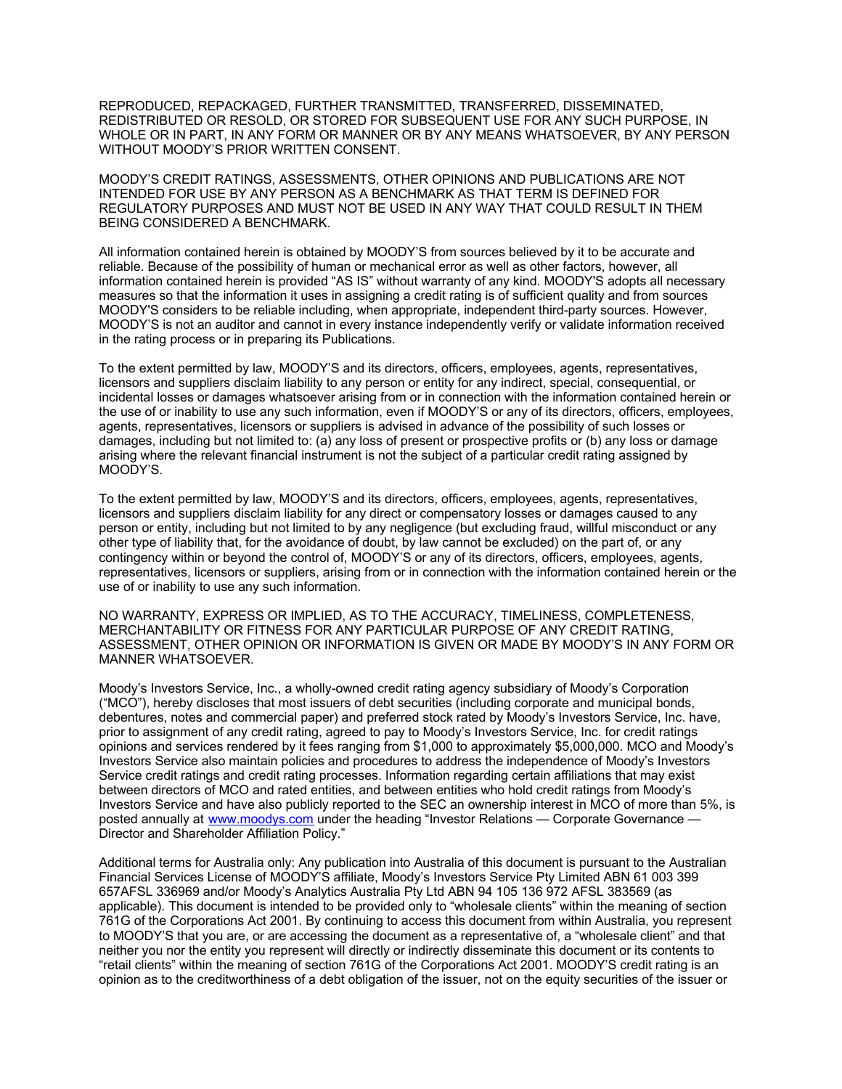REPRODUCED, REPACKAGED, FURTHER TRANSMITTED, TRANSFERRED, DISSEMINATED, REDISTRIBUTED OR RESOLD, OR STORED FOR SUBSEQUENT USE FOR ANY SUCH PURPOSE, IN WHOLE OR IN PART, IN ANY FORM OR MANNER OR BY ANY MEANS WHATSOEVER, BY ANY PERSON WITHOUT MOODY'S PRIOR WRITTEN CONSENT.

MOODY'S CREDIT RATINGS, ASSESSMENTS, OTHER OPINIONS AND PUBLICATIONS ARE NOT INTENDED FOR USE BY ANY PERSON AS A BENCHMARK AS THAT TERM IS DEFINED FOR REGULATORY PURPOSES AND MUST NOT BE USED IN ANY WAY THAT COULD RESULT IN THEM BEING CONSIDERED A BENCHMARK.

All information contained herein is obtained by MOODY'S from sources believed by it to be accurate and reliable. Because of the possibility of human or mechanical error as well as other factors, however, all information contained herein is provided "AS IS" without warranty of any kind. MOODY'S adopts all necessary measures so that the information it uses in assigning a credit rating is of sufficient quality and from sources MOODY'S considers to be reliable including, when appropriate, independent third-party sources. However, MOODY'S is not an auditor and cannot in every instance independently verify or validate information received in the rating process or in preparing its Publications.

To the extent permitted by law, MOODY'S and its directors, officers, employees, agents, representatives, licensors and suppliers disclaim liability to any person or entity for any indirect, special, consequential, or incidental losses or damages whatsoever arising from or in connection with the information contained herein or the use of or inability to use any such information, even if MOODY'S or any of its directors, officers, employees, agents, representatives, licensors or suppliers is advised in advance of the possibility of such losses or damages, including but not limited to: (a) any loss of present or prospective profits or (b) any loss or damage arising where the relevant financial instrument is not the subject of a particular credit rating assigned by MOODY'S.

To the extent permitted by law, MOODY'S and its directors, officers, employees, agents, representatives, licensors and suppliers disclaim liability for any direct or compensatory losses or damages caused to any person or entity, including but not limited to by any negligence (but excluding fraud, willful misconduct or any other type of liability that, for the avoidance of doubt, by law cannot be excluded) on the part of, or any contingency within or beyond the control of, MOODY'S or any of its directors, officers, employees, agents, representatives, licensors or suppliers, arising from or in connection with the information contained herein or the use of or inability to use any such information.

NO WARRANTY, EXPRESS OR IMPLIED, AS TO THE ACCURACY, TIMELINESS, COMPLETENESS, MERCHANTABILITY OR FITNESS FOR ANY PARTICULAR PURPOSE OF ANY CREDIT RATING, ASSESSMENT, OTHER OPINION OR INFORMATION IS GIVEN OR MADE BY MOODY'S IN ANY FORM OR MANNER WHATSOEVER.

Moody's Investors Service, Inc., a wholly-owned credit rating agency subsidiary of Moody's Corporation ("MCO"), hereby discloses that most issuers of debt securities (including corporate and municipal bonds, debentures, notes and commercial paper) and preferred stock rated by Moody's Investors Service, Inc. have, prior to assignment of any credit rating, agreed to pay to Moody's Investors Service, Inc. for credit ratings opinions and services rendered by it fees ranging from \$1,000 to approximately \$5,000,000. MCO and Moody's Investors Service also maintain policies and procedures to address the independence of Moody's Investors Service credit ratings and credit rating processes. Information regarding certain affiliations that may exist between directors of MCO and rated entities, and between entities who hold credit ratings from Moody's Investors Service and have also publicly reported to the SEC an ownership interest in MCO of more than 5%, is posted annually at [www.moodys.com](http://www.moodys.com/) under the heading "Investor Relations — Corporate Governance — Director and Shareholder Affiliation Policy."

Additional terms for Australia only: Any publication into Australia of this document is pursuant to the Australian Financial Services License of MOODY'S affiliate, Moody's Investors Service Pty Limited ABN 61 003 399 657AFSL 336969 and/or Moody's Analytics Australia Pty Ltd ABN 94 105 136 972 AFSL 383569 (as applicable). This document is intended to be provided only to "wholesale clients" within the meaning of section 761G of the Corporations Act 2001. By continuing to access this document from within Australia, you represent to MOODY'S that you are, or are accessing the document as a representative of, a "wholesale client" and that neither you nor the entity you represent will directly or indirectly disseminate this document or its contents to "retail clients" within the meaning of section 761G of the Corporations Act 2001. MOODY'S credit rating is an opinion as to the creditworthiness of a debt obligation of the issuer, not on the equity securities of the issuer or